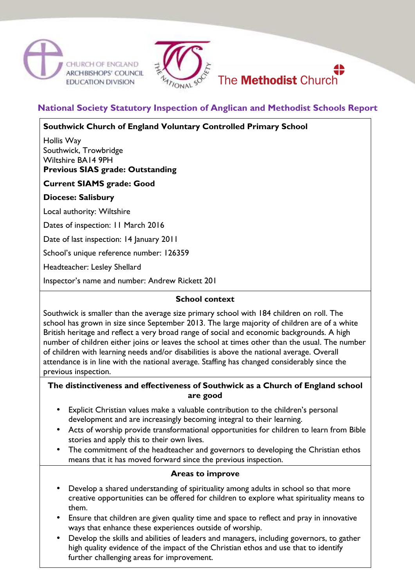





# **National Society Statutory Inspection of Anglican and Methodist Schools Report**

**Southwick Church of England Voluntary Controlled Primary School** 

Hollis Way Southwick, Trowbridge Wiltshire BA14 9PH

**Previous SIAS grade: Outstanding** 

# **Current SIAMS grade: Good**

# **Diocese: Salisbury**

Local authority: Wiltshire

Dates of inspection: 11 March 2016

Date of last inspection: 14 January 2011

School's unique reference number: 126359

Headteacher: Lesley Shellard

Inspector's name and number: Andrew Rickett 201

#### **School context**

Southwick is smaller than the average size primary school with 184 children on roll. The school has grown in size since September 2013. The large majority of children are of a white British heritage and reflect a very broad range of social and economic backgrounds. A high number of children either joins or leaves the school at times other than the usual. The number of children with learning needs and/or disabilities is above the national average. Overall attendance is in line with the national average. Staffing has changed considerably since the previous inspection.

### **The distinctiveness and effectiveness of Southwick as a Church of England school are good**

- Explicit Christian values make a valuable contribution to the children's personal development and are increasingly becoming integral to their learning.
- Acts of worship provide transformational opportunities for children to learn from Bible stories and apply this to their own lives.
- The commitment of the headteacher and governors to developing the Christian ethos means that it has moved forward since the previous inspection.

### **Areas to improve**

- Develop a shared understanding of spirituality among adults in school so that more creative opportunities can be offered for children to explore what spirituality means to them.
- Ensure that children are given quality time and space to reflect and pray in innovative ways that enhance these experiences outside of worship.
- Develop the skills and abilities of leaders and managers, including governors, to gather high quality evidence of the impact of the Christian ethos and use that to identify further challenging areas for improvement.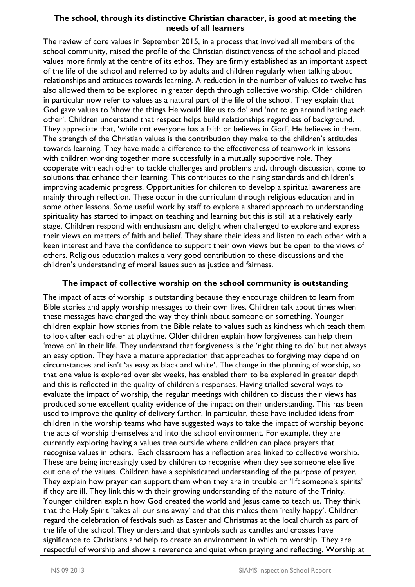# **The school, through its distinctive Christian character, is good at meeting the needs of all learners**

The review of core values in September 2015, in a process that involved all members of the school community, raised the profile of the Christian distinctiveness of the school and placed values more firmly at the centre of its ethos. They are firmly established as an important aspect of the life of the school and referred to by adults and children regularly when talking about relationships and attitudes towards learning. A reduction in the number of values to twelve has also allowed them to be explored in greater depth through collective worship. Older children in particular now refer to values as a natural part of the life of the school. They explain that God gave values to 'show the things He would like us to do' and 'not to go around hating each other'. Children understand that respect helps build relationships regardless of background. They appreciate that, 'while not everyone has a faith or believes in God', He believes in them. The strength of the Christian values is the contribution they make to the children's attitudes towards learning. They have made a difference to the effectiveness of teamwork in lessons with children working together more successfully in a mutually supportive role. They cooperate with each other to tackle challenges and problems and, through discussion, come to solutions that enhance their learning. This contributes to the rising standards and children's improving academic progress. Opportunities for children to develop a spiritual awareness are mainly through reflection. These occur in the curriculum through religious education and in some other lessons. Some useful work by staff to explore a shared approach to understanding spirituality has started to impact on teaching and learning but this is still at a relatively early stage. Children respond with enthusiasm and delight when challenged to explore and express their views on matters of faith and belief. They share their ideas and listen to each other with a keen interest and have the confidence to support their own views but be open to the views of others. Religious education makes a very good contribution to these discussions and the children's understanding of moral issues such as justice and fairness.

# **The impact of collective worship on the school community is outstanding**

The impact of acts of worship is outstanding because they encourage children to learn from Bible stories and apply worship messages to their own lives. Children talk about times when these messages have changed the way they think about someone or something. Younger children explain how stories from the Bible relate to values such as kindness which teach them to look after each other at playtime. Older children explain how forgiveness can help them 'move on' in their life. They understand that forgiveness is the 'right thing to do' but not always an easy option. They have a mature appreciation that approaches to forgiving may depend on circumstances and isn't 'as easy as black and white'. The change in the planning of worship, so that one value is explored over six weeks, has enabled them to be explored in greater depth and this is reflected in the quality of children's responses. Having trialled several ways to evaluate the impact of worship, the regular meetings with children to discuss their views has produced some excellent quality evidence of the impact on their understanding. This has been used to improve the quality of delivery further. In particular, these have included ideas from children in the worship teams who have suggested ways to take the impact of worship beyond the acts of worship themselves and into the school environment. For example, they are currently exploring having a values tree outside where children can place prayers that recognise values in others. Each classroom has a reflection area linked to collective worship. These are being increasingly used by children to recognise when they see someone else live out one of the values. Children have a sophisticated understanding of the purpose of prayer. They explain how prayer can support them when they are in trouble or 'lift someone's spirits' if they are ill. They link this with their growing understanding of the nature of the Trinity. Younger children explain how God created the world and Jesus came to teach us. They think that the Holy Spirit 'takes all our sins away' and that this makes them 'really happy'. Children regard the celebration of festivals such as Easter and Christmas at the local church as part of the life of the school. They understand that symbols such as candles and crosses have significance to Christians and help to create an environment in which to worship. They are respectful of worship and show a reverence and quiet when praying and reflecting. Worship at